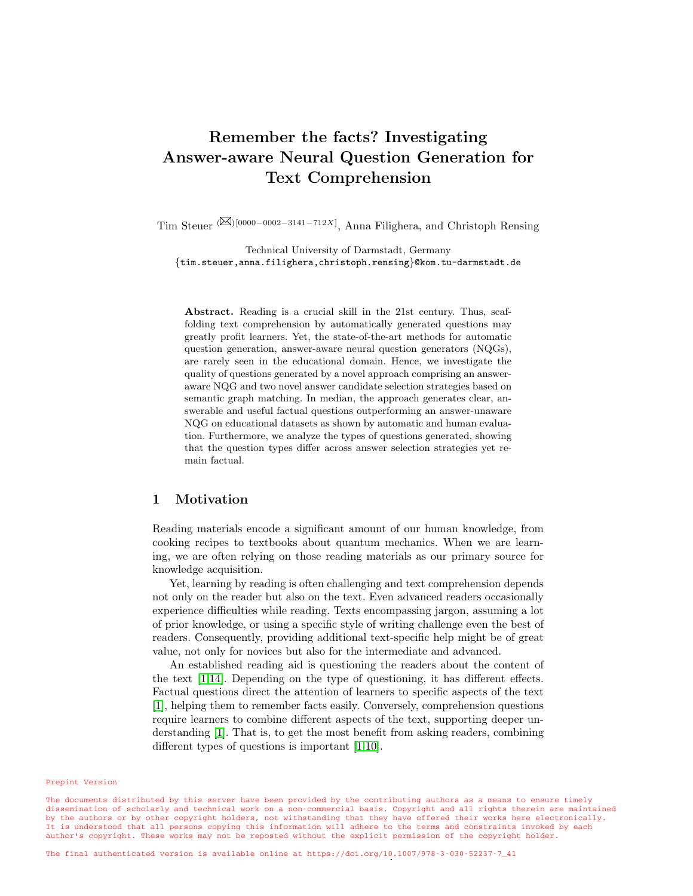# Remember the facts? Investigating Answer-aware Neural Question Generation for Text Comprehension

Tim Steuer <sup>( $\bowtie$ )[0000–0002–3141–712X]</sup>, Anna Filighera, and Christoph Rensing

Technical University of Darmstadt, Germany {tim.steuer,anna.filighera,christoph.rensing}@kom.tu-darmstadt.de

Abstract. Reading is a crucial skill in the 21st century. Thus, scaffolding text comprehension by automatically generated questions may greatly profit learners. Yet, the state-of-the-art methods for automatic question generation, answer-aware neural question generators (NQGs), are rarely seen in the educational domain. Hence, we investigate the quality of questions generated by a novel approach comprising an answeraware NQG and two novel answer candidate selection strategies based on semantic graph matching. In median, the approach generates clear, answerable and useful factual questions outperforming an answer-unaware NQG on educational datasets as shown by automatic and human evaluation. Furthermore, we analyze the types of questions generated, showing that the question types differ across answer selection strategies yet remain factual.

# 1 Motivation

Reading materials encode a significant amount of our human knowledge, from cooking recipes to textbooks about quantum mechanics. When we are learning, we are often relying on those reading materials as our primary source for knowledge acquisition.

Yet, learning by reading is often challenging and text comprehension depends not only on the reader but also on the text. Even advanced readers occasionally experience difficulties while reading. Texts encompassing jargon, assuming a lot of prior knowledge, or using a specific style of writing challenge even the best of readers. Consequently, providing additional text-specific help might be of great value, not only for novices but also for the intermediate and advanced.

An established reading aid is questioning the readers about the content of the text  $[1,14]$ . Depending on the type of questioning, it has different effects. Factual questions direct the attention of learners to specific aspects of the text [1], helping them to remember facts easily. Conversely, comprehension questions require learners to combine different aspects of the text, supporting deeper understanding  $\boxed{1}$ . That is, to get the most benefit from asking readers, combining different types of questions is important  $[1,10]$ .

Prepint Version

The documents distributed by this server have been provided by the contributing authors as a means to ensure timely dissemination of scholarly and technical work on a non-commercial basis. Copyright and all rights therein are maintained by the authors or by other copyright holders, not withstanding that they have offered their works here electronically. It is understood that all persons copying this information will adhere to the terms and constraints invoked by each author's copyright. These works may not be reposted without the explicit permission of the copyright holder.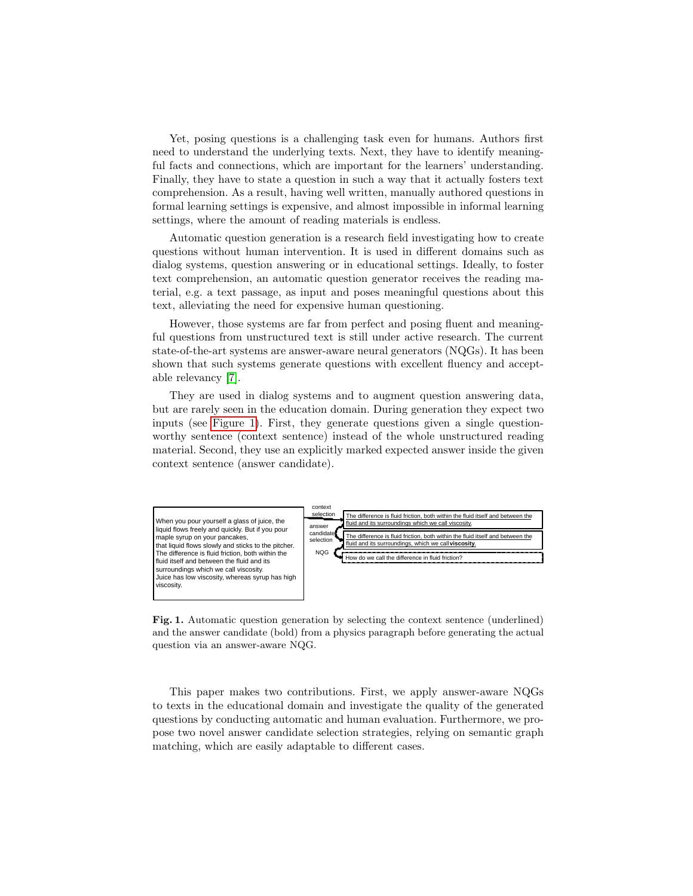Yet, posing questions is a challenging task even for humans. Authors first need to understand the underlying texts. Next, they have to identify meaningful facts and connections, which are important for the learners' understanding. Finally, they have to state a question in such a way that it actually fosters text comprehension. As a result, having well written, manually authored questions in formal learning settings is expensive, and almost impossible in informal learning settings, where the amount of reading materials is endless.

Automatic question generation is a research field investigating how to create questions without human intervention. It is used in different domains such as dialog systems, question answering or in educational settings. Ideally, to foster text comprehension, an automatic question generator receives the reading material, e.g. a text passage, as input and poses meaningful questions about this text, alleviating the need for expensive human questioning.

However, those systems are far from perfect and posing fluent and meaningful questions from unstructured text is still under active research. The current state-of-the-art systems are answer-aware neural generators (NQGs). It has been shown that such systems generate questions with excellent fluency and acceptable relevancy [7].

They are used in dialog systems and to augment question answering data, but are rarely seen in the education domain. During generation they expect two inputs (see Figure 1). First, they generate questions given a single questionworthy sentence (context sentence) instead of the whole unstructured reading material. Second, they use an explicitly marked expected answer inside the given context sentence (answer candidate).



Fig. 1. Automatic question generation by selecting the context sentence (underlined) and the answer candidate (bold) from a physics paragraph before generating the actual question via an answer-aware NQG.

This paper makes two contributions. First, we apply answer-aware NQGs to texts in the educational domain and investigate the quality of the generated questions by conducting automatic and human evaluation. Furthermore, we propose two novel answer candidate selection strategies, relying on semantic graph matching, which are easily adaptable to different cases.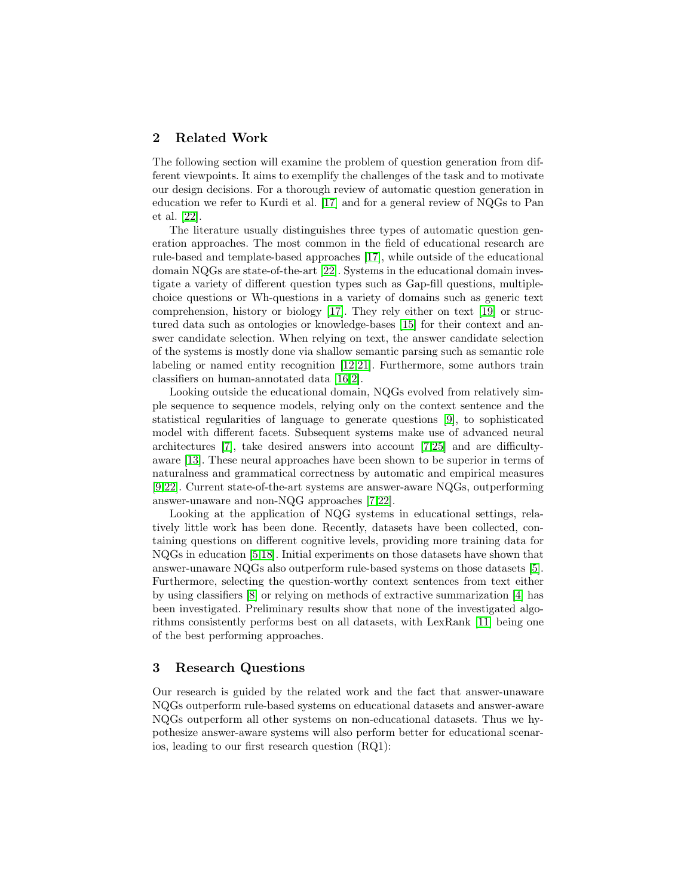## 2 Related Work

The following section will examine the problem of question generation from different viewpoints. It aims to exemplify the challenges of the task and to motivate our design decisions. For a thorough review of automatic question generation in education we refer to Kurdi et al. [17] and for a general review of NQGs to Pan et al. [22].

The literature usually distinguishes three types of automatic question generation approaches. The most common in the field of educational research are rule-based and template-based approaches [17], while outside of the educational domain NQGs are state-of-the-art [22]. Systems in the educational domain investigate a variety of different question types such as Gap-fill questions, multiplechoice questions or Wh-questions in a variety of domains such as generic text comprehension, history or biology  $\boxed{17}$ . They rely either on text  $\boxed{19}$  or structured data such as ontologies or knowledge-bases [15] for their context and answer candidate selection. When relying on text, the answer candidate selection of the systems is mostly done via shallow semantic parsing such as semantic role labeling or named entity recognition  $[12,21]$ . Furthermore, some authors train classifiers on human-annotated data [16,2].

Looking outside the educational domain, NQGs evolved from relatively simple sequence to sequence models, relying only on the context sentence and the statistical regularities of language to generate questions [9], to sophisticated model with different facets. Subsequent systems make use of advanced neural architectures  $\boxed{7}$ , take desired answers into account  $\boxed{725}$  and are difficultyaware [13]. These neural approaches have been shown to be superior in terms of naturalness and grammatical correctness by automatic and empirical measures [9,22]. Current state-of-the-art systems are answer-aware NQGs, outperforming answer-unaware and non-NQG approaches [7,22].

Looking at the application of NQG systems in educational settings, relatively little work has been done. Recently, datasets have been collected, containing questions on different cognitive levels, providing more training data for NQGs in education [5,18]. Initial experiments on those datasets have shown that answer-unaware NQGs also outperform rule-based systems on those datasets [5]. Furthermore, selecting the question-worthy context sentences from text either by using classifiers  $\boxed{8}$  or relying on methods of extractive summarization  $\boxed{4}$  has been investigated. Preliminary results show that none of the investigated algorithms consistently performs best on all datasets, with LexRank [11] being one of the best performing approaches.

## 3 Research Questions

Our research is guided by the related work and the fact that answer-unaware NQGs outperform rule-based systems on educational datasets and answer-aware NQGs outperform all other systems on non-educational datasets. Thus we hypothesize answer-aware systems will also perform better for educational scenarios, leading to our first research question (RQ1):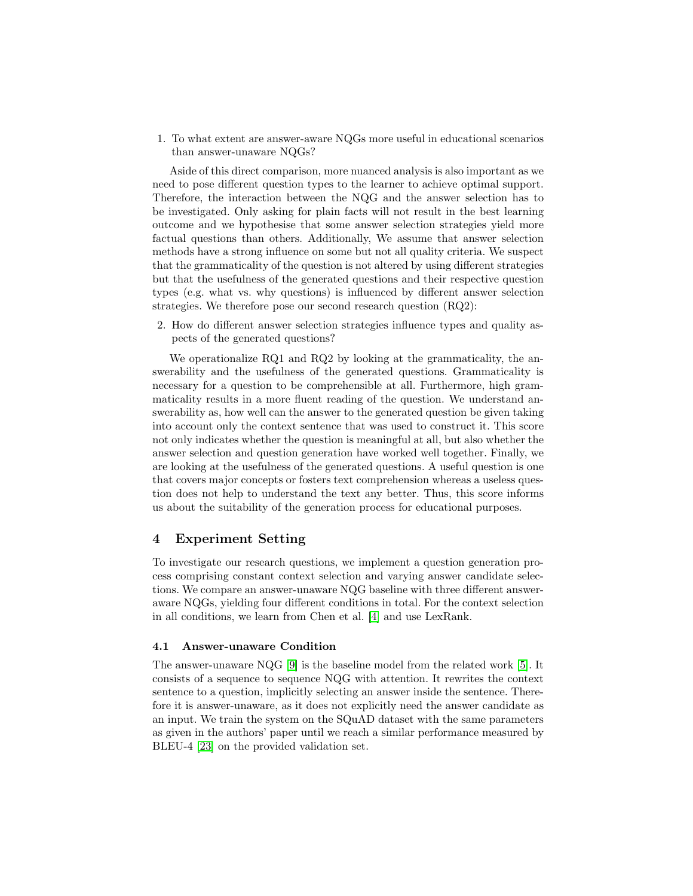1. To what extent are answer-aware NQGs more useful in educational scenarios than answer-unaware NQGs?

Aside of this direct comparison, more nuanced analysis is also important as we need to pose different question types to the learner to achieve optimal support. Therefore, the interaction between the NQG and the answer selection has to be investigated. Only asking for plain facts will not result in the best learning outcome and we hypothesise that some answer selection strategies yield more factual questions than others. Additionally, We assume that answer selection methods have a strong influence on some but not all quality criteria. We suspect that the grammaticality of the question is not altered by using different strategies but that the usefulness of the generated questions and their respective question types (e.g. what vs. why questions) is influenced by different answer selection strategies. We therefore pose our second research question (RQ2):

2. How do different answer selection strategies influence types and quality aspects of the generated questions?

We operationalize RQ1 and RQ2 by looking at the grammaticality, the answerability and the usefulness of the generated questions. Grammaticality is necessary for a question to be comprehensible at all. Furthermore, high grammaticality results in a more fluent reading of the question. We understand answerability as, how well can the answer to the generated question be given taking into account only the context sentence that was used to construct it. This score not only indicates whether the question is meaningful at all, but also whether the answer selection and question generation have worked well together. Finally, we are looking at the usefulness of the generated questions. A useful question is one that covers major concepts or fosters text comprehension whereas a useless question does not help to understand the text any better. Thus, this score informs us about the suitability of the generation process for educational purposes.

# 4 Experiment Setting

To investigate our research questions, we implement a question generation process comprising constant context selection and varying answer candidate selections. We compare an answer-unaware NQG baseline with three different answeraware NQGs, yielding four different conditions in total. For the context selection in all conditions, we learn from Chen et al.  $\boxed{4}$  and use LexRank.

#### 4.1 Answer-unaware Condition

The answer-unaware NQG  $\boxed{9}$  is the baseline model from the related work  $\boxed{5}$ . It consists of a sequence to sequence NQG with attention. It rewrites the context sentence to a question, implicitly selecting an answer inside the sentence. Therefore it is answer-unaware, as it does not explicitly need the answer candidate as an input. We train the system on the SQuAD dataset with the same parameters as given in the authors' paper until we reach a similar performance measured by BLEU-4  $\boxed{23}$  on the provided validation set.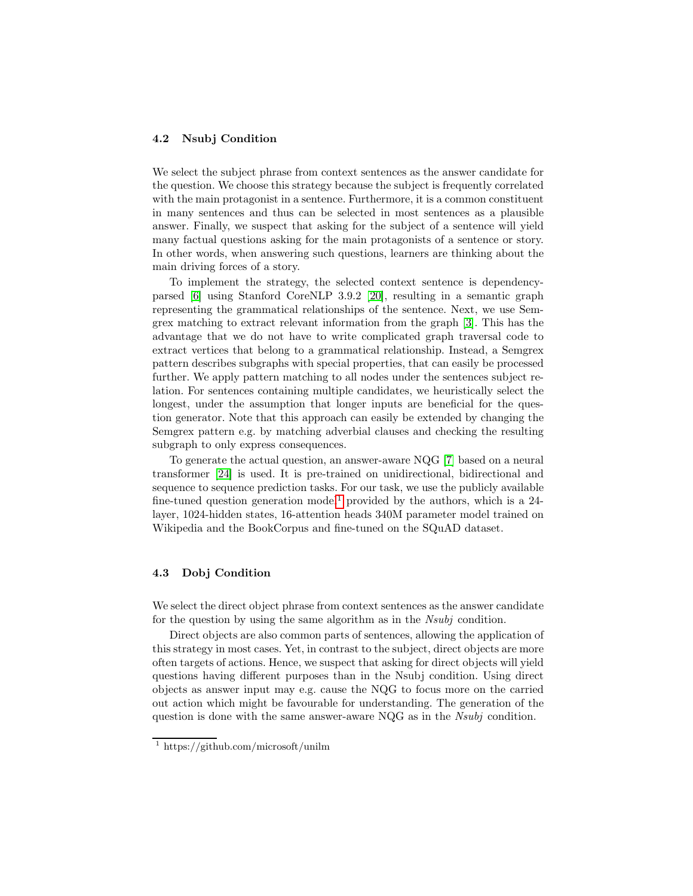#### 4.2 Nsubj Condition

We select the subject phrase from context sentences as the answer candidate for the question. We choose this strategy because the subject is frequently correlated with the main protagonist in a sentence. Furthermore, it is a common constituent in many sentences and thus can be selected in most sentences as a plausible answer. Finally, we suspect that asking for the subject of a sentence will yield many factual questions asking for the main protagonists of a sentence or story. In other words, when answering such questions, learners are thinking about the main driving forces of a story.

To implement the strategy, the selected context sentence is dependencyparsed [6] using Stanford CoreNLP 3.9.2 [20], resulting in a semantic graph representing the grammatical relationships of the sentence. Next, we use Semgrex matching to extract relevant information from the graph [3]. This has the advantage that we do not have to write complicated graph traversal code to extract vertices that belong to a grammatical relationship. Instead, a Semgrex pattern describes subgraphs with special properties, that can easily be processed further. We apply pattern matching to all nodes under the sentences subject relation. For sentences containing multiple candidates, we heuristically select the longest, under the assumption that longer inputs are beneficial for the question generator. Note that this approach can easily be extended by changing the Semgrex pattern e.g. by matching adverbial clauses and checking the resulting subgraph to only express consequences.

To generate the actual question, an answer-aware NQG [7] based on a neural transformer [24] is used. It is pre-trained on unidirectional, bidirectional and sequence to sequence prediction tasks. For our task, we use the publicly available fine-tuned question generation model<sup>1</sup> provided by the authors, which is a 24layer, 1024-hidden states, 16-attention heads 340M parameter model trained on Wikipedia and the BookCorpus and fine-tuned on the SQuAD dataset.

## 4.3 Dobj Condition

We select the direct object phrase from context sentences as the answer candidate for the question by using the same algorithm as in the Nsubj condition.

Direct objects are also common parts of sentences, allowing the application of this strategy in most cases. Yet, in contrast to the subject, direct objects are more often targets of actions. Hence, we suspect that asking for direct objects will yield questions having different purposes than in the Nsubj condition. Using direct objects as answer input may e.g. cause the NQG to focus more on the carried out action which might be favourable for understanding. The generation of the question is done with the same answer-aware NQG as in the  $Nsubj$  condition.

<sup>&</sup>lt;sup>1</sup> https://github.com/microsoft/unilm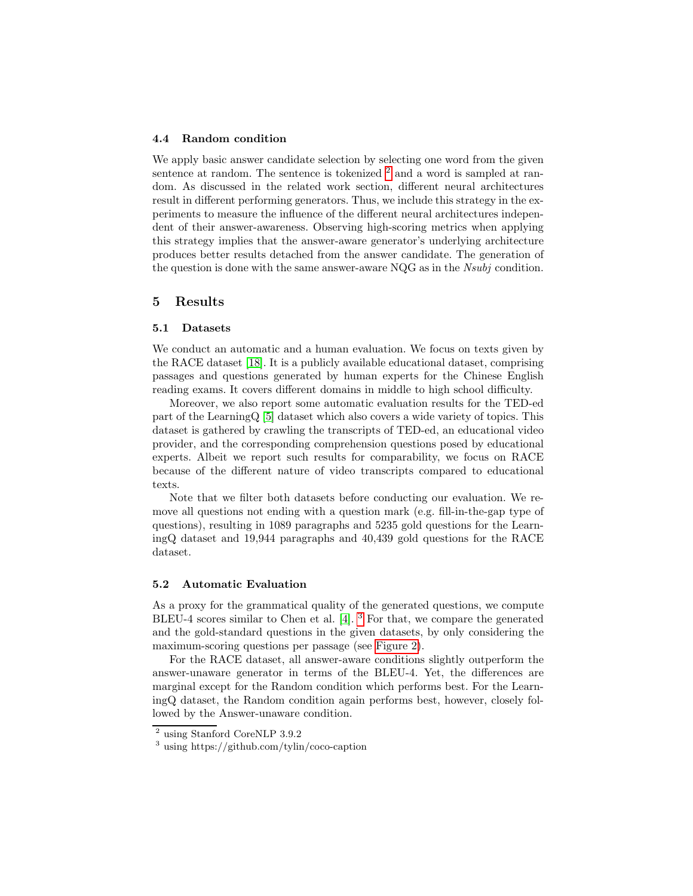#### 4.4 Random condition

We apply basic answer candidate selection by selecting one word from the given sentence at random. The sentence is tokenized  $\frac{2}{3}$  and a word is sampled at random. As discussed in the related work section, different neural architectures result in different performing generators. Thus, we include this strategy in the experiments to measure the influence of the different neural architectures independent of their answer-awareness. Observing high-scoring metrics when applying this strategy implies that the answer-aware generator's underlying architecture produces better results detached from the answer candidate. The generation of the question is done with the same answer-aware NQG as in the Nsubj condition.

#### 5 Results

#### 5.1 Datasets

We conduct an automatic and a human evaluation. We focus on texts given by the RACE dataset  $\boxed{18}$ . It is a publicly available educational dataset, comprising passages and questions generated by human experts for the Chinese English reading exams. It covers different domains in middle to high school difficulty.

Moreover, we also report some automatic evaluation results for the TED-ed part of the LearningQ [5] dataset which also covers a wide variety of topics. This dataset is gathered by crawling the transcripts of TED-ed, an educational video provider, and the corresponding comprehension questions posed by educational experts. Albeit we report such results for comparability, we focus on RACE because of the different nature of video transcripts compared to educational texts.

Note that we filter both datasets before conducting our evaluation. We remove all questions not ending with a question mark (e.g. fill-in-the-gap type of questions), resulting in 1089 paragraphs and 5235 gold questions for the LearningQ dataset and 19,944 paragraphs and 40,439 gold questions for the RACE dataset.

#### 5.2 Automatic Evaluation

As a proxy for the grammatical quality of the generated questions, we compute BLEU-4 scores similar to Chen et al.  $\boxed{4}$ . <sup>3</sup> For that, we compare the generated and the gold-standard questions in the given datasets, by only considering the maximum-scoring questions per passage (see Figure 2).

For the RACE dataset, all answer-aware conditions slightly outperform the answer-unaware generator in terms of the BLEU-4. Yet, the differences are marginal except for the Random condition which performs best. For the LearningQ dataset, the Random condition again performs best, however, closely followed by the Answer-unaware condition.

<sup>2</sup> using Stanford CoreNLP 3.9.2

<sup>3</sup> using https://github.com/tylin/coco-caption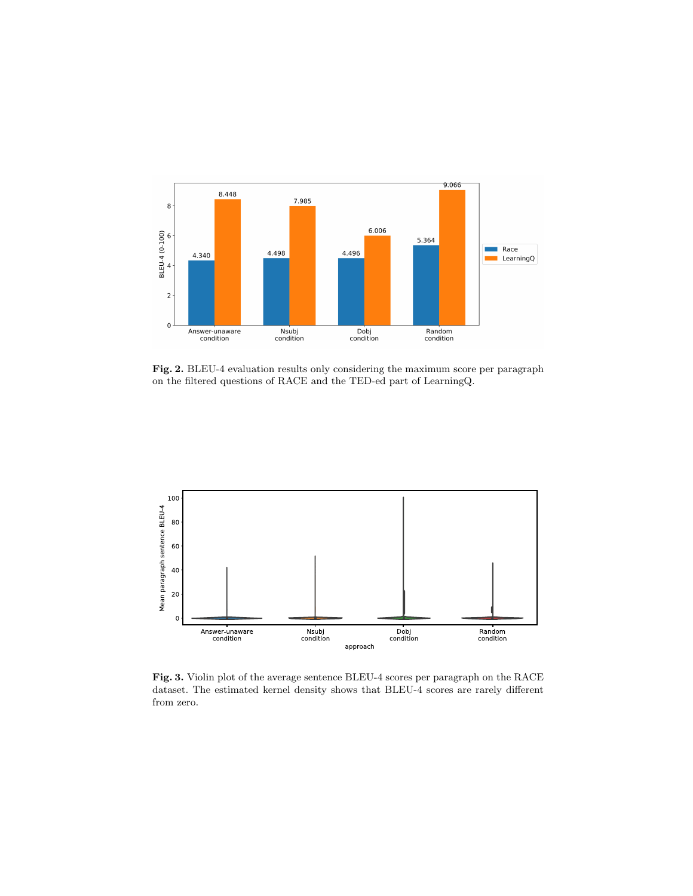

Fig. 2. BLEU-4 evaluation results only considering the maximum score per paragraph on the filtered questions of RACE and the TED-ed part of LearningQ.



Fig. 3. Violin plot of the average sentence BLEU-4 scores per paragraph on the RACE dataset. The estimated kernel density shows that BLEU-4 scores are rarely different from zero.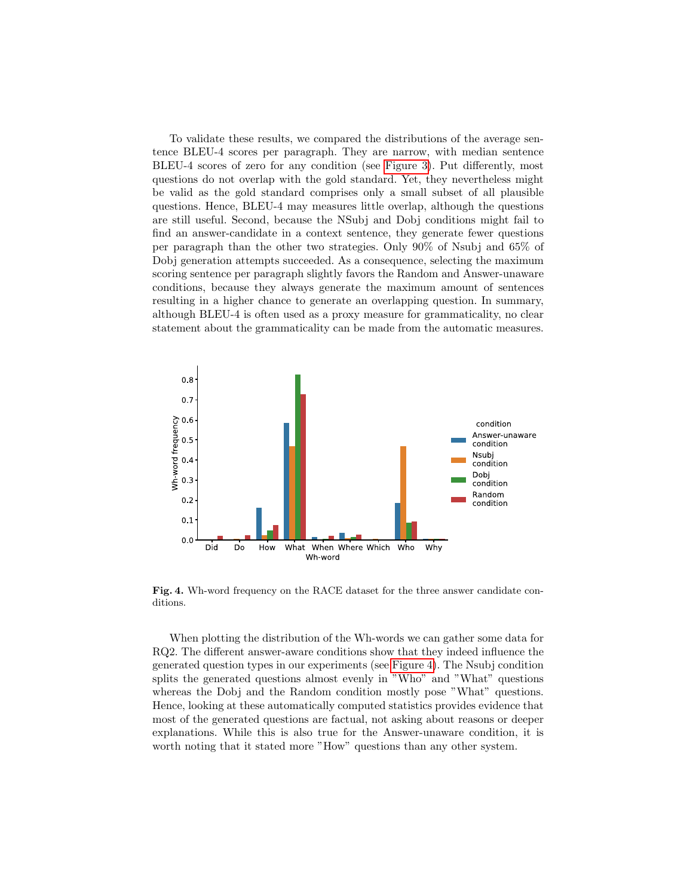To validate these results, we compared the distributions of the average sentence BLEU-4 scores per paragraph. They are narrow, with median sentence BLEU-4 scores of zero for any condition (see Figure 3). Put differently, most questions do not overlap with the gold standard. Yet, they nevertheless might be valid as the gold standard comprises only a small subset of all plausible questions. Hence, BLEU-4 may measures little overlap, although the questions are still useful. Second, because the NSubj and Dobj conditions might fail to find an answer-candidate in a context sentence, they generate fewer questions per paragraph than the other two strategies. Only 90% of Nsubj and 65% of Dobj generation attempts succeeded. As a consequence, selecting the maximum scoring sentence per paragraph slightly favors the Random and Answer-unaware conditions, because they always generate the maximum amount of sentences resulting in a higher chance to generate an overlapping question. In summary, although BLEU-4 is often used as a proxy measure for grammaticality, no clear statement about the grammaticality can be made from the automatic measures.



Fig. 4. Wh-word frequency on the RACE dataset for the three answer candidate conditions.

When plotting the distribution of the Wh-words we can gather some data for RQ2. The different answer-aware conditions show that they indeed influence the generated question types in our experiments (see Figure  $4$ ). The Nsubj condition splits the generated questions almost evenly in  $\overline{\text{``Who''}}$  and "What" questions whereas the Dobj and the Random condition mostly pose "What" questions. Hence, looking at these automatically computed statistics provides evidence that most of the generated questions are factual, not asking about reasons or deeper explanations. While this is also true for the Answer-unaware condition, it is worth noting that it stated more "How" questions than any other system.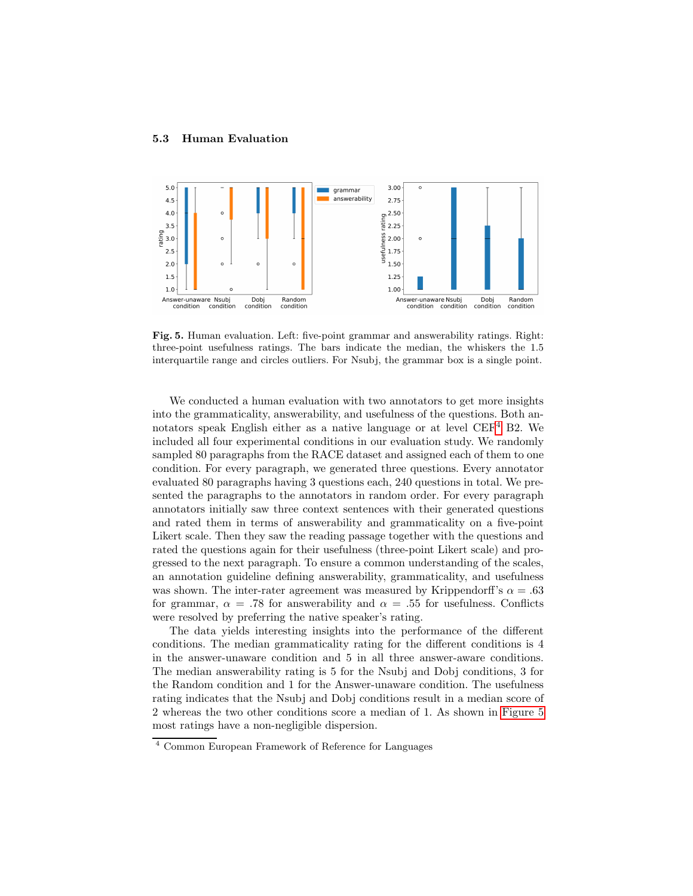#### 5.3 Human Evaluation



Fig. 5. Human evaluation. Left: five-point grammar and answerability ratings. Right: three-point usefulness ratings. The bars indicate the median, the whiskers the 1.5 interquartile range and circles outliers. For Nsubj, the grammar box is a single point.

We conducted a human evaluation with two annotators to get more insights into the grammaticality, answerability, and usefulness of the questions. Both annotators speak English either as a native language or at level  $\text{CEF}^{4}$  B2. We included all four experimental conditions in our evaluation study. We randomly sampled 80 paragraphs from the RACE dataset and assigned each of them to one condition. For every paragraph, we generated three questions. Every annotator evaluated 80 paragraphs having 3 questions each, 240 questions in total. We presented the paragraphs to the annotators in random order. For every paragraph annotators initially saw three context sentences with their generated questions and rated them in terms of answerability and grammaticality on a five-point Likert scale. Then they saw the reading passage together with the questions and rated the questions again for their usefulness (three-point Likert scale) and progressed to the next paragraph. To ensure a common understanding of the scales, an annotation guideline defining answerability, grammaticality, and usefulness was shown. The inter-rater agreement was measured by Krippendorff's  $\alpha = .63$ for grammar,  $\alpha = .78$  for answerability and  $\alpha = .55$  for usefulness. Conflicts were resolved by preferring the native speaker's rating.

The data yields interesting insights into the performance of the different conditions. The median grammaticality rating for the different conditions is 4 in the answer-unaware condition and 5 in all three answer-aware conditions. The median answerability rating is 5 for the Nsubj and Dobj conditions, 3 for the Random condition and 1 for the Answer-unaware condition. The usefulness rating indicates that the Nsubj and Dobj conditions result in a median score of 2 whereas the two other conditions score a median of 1. As shown in Figure 5 most ratings have a non-negligible dispersion.

<sup>4</sup> Common European Framework of Reference for Languages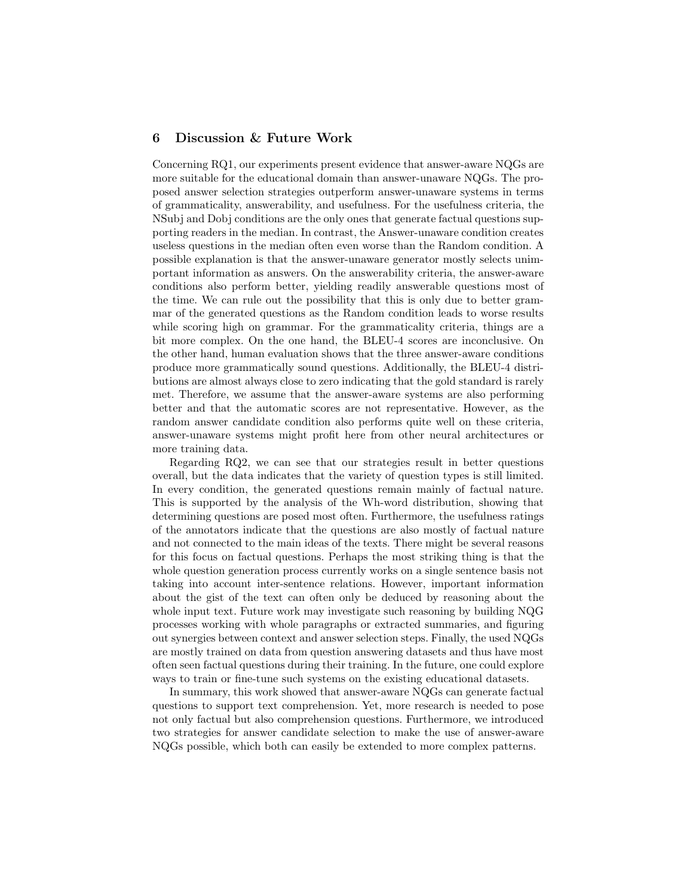# 6 Discussion & Future Work

Concerning RQ1, our experiments present evidence that answer-aware NQGs are more suitable for the educational domain than answer-unaware NQGs. The proposed answer selection strategies outperform answer-unaware systems in terms of grammaticality, answerability, and usefulness. For the usefulness criteria, the NSubj and Dobj conditions are the only ones that generate factual questions supporting readers in the median. In contrast, the Answer-unaware condition creates useless questions in the median often even worse than the Random condition. A possible explanation is that the answer-unaware generator mostly selects unimportant information as answers. On the answerability criteria, the answer-aware conditions also perform better, yielding readily answerable questions most of the time. We can rule out the possibility that this is only due to better grammar of the generated questions as the Random condition leads to worse results while scoring high on grammar. For the grammaticality criteria, things are a bit more complex. On the one hand, the BLEU-4 scores are inconclusive. On the other hand, human evaluation shows that the three answer-aware conditions produce more grammatically sound questions. Additionally, the BLEU-4 distributions are almost always close to zero indicating that the gold standard is rarely met. Therefore, we assume that the answer-aware systems are also performing better and that the automatic scores are not representative. However, as the random answer candidate condition also performs quite well on these criteria, answer-unaware systems might profit here from other neural architectures or more training data.

Regarding RQ2, we can see that our strategies result in better questions overall, but the data indicates that the variety of question types is still limited. In every condition, the generated questions remain mainly of factual nature. This is supported by the analysis of the Wh-word distribution, showing that determining questions are posed most often. Furthermore, the usefulness ratings of the annotators indicate that the questions are also mostly of factual nature and not connected to the main ideas of the texts. There might be several reasons for this focus on factual questions. Perhaps the most striking thing is that the whole question generation process currently works on a single sentence basis not taking into account inter-sentence relations. However, important information about the gist of the text can often only be deduced by reasoning about the whole input text. Future work may investigate such reasoning by building NQG processes working with whole paragraphs or extracted summaries, and figuring out synergies between context and answer selection steps. Finally, the used NQGs are mostly trained on data from question answering datasets and thus have most often seen factual questions during their training. In the future, one could explore ways to train or fine-tune such systems on the existing educational datasets.

In summary, this work showed that answer-aware NQGs can generate factual questions to support text comprehension. Yet, more research is needed to pose not only factual but also comprehension questions. Furthermore, we introduced two strategies for answer candidate selection to make the use of answer-aware NQGs possible, which both can easily be extended to more complex patterns.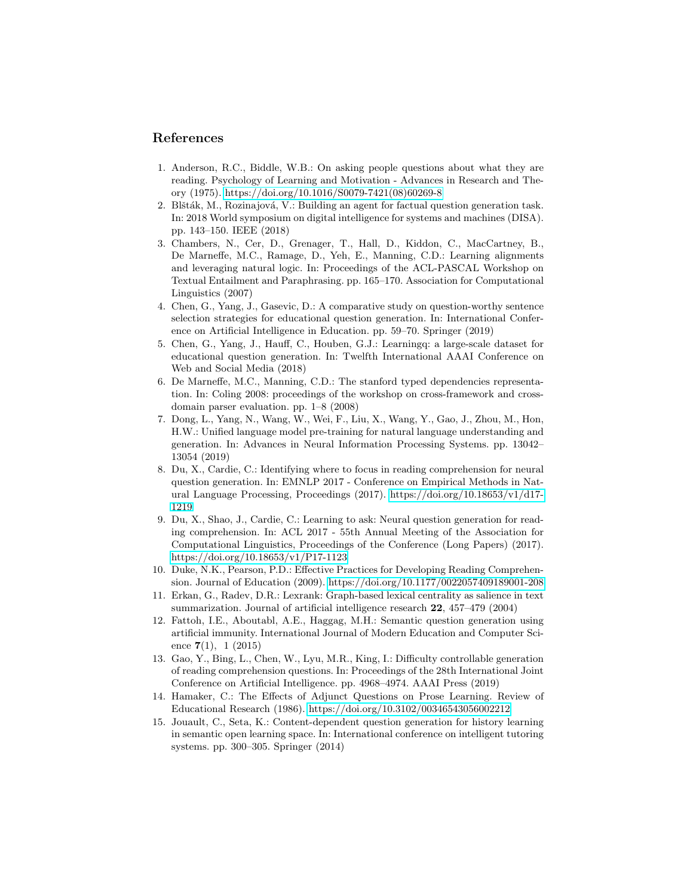## References

- 1. Anderson, R.C., Biddle, W.B.: On asking people questions about what they are reading. Psychology of Learning and Motivation - Advances in Research and Theory (1975). https://doi.org/10.1016/S0079-7421(08)60269-8
- 2. Blšták, M., Rozinajová, V.: Building an agent for factual question generation task. In: 2018 World symposium on digital intelligence for systems and machines (DISA). pp. 143–150. IEEE (2018)
- 3. Chambers, N., Cer, D., Grenager, T., Hall, D., Kiddon, C., MacCartney, B., De Marneffe, M.C., Ramage, D., Yeh, E., Manning, C.D.: Learning alignments and leveraging natural logic. In: Proceedings of the ACL-PASCAL Workshop on Textual Entailment and Paraphrasing. pp. 165–170. Association for Computational Linguistics (2007)
- 4. Chen, G., Yang, J., Gasevic, D.: A comparative study on question-worthy sentence selection strategies for educational question generation. In: International Conference on Artificial Intelligence in Education. pp. 59–70. Springer (2019)
- 5. Chen, G., Yang, J., Hauff, C., Houben, G.J.: Learningq: a large-scale dataset for educational question generation. In: Twelfth International AAAI Conference on Web and Social Media (2018)
- 6. De Marneffe, M.C., Manning, C.D.: The stanford typed dependencies representation. In: Coling 2008: proceedings of the workshop on cross-framework and crossdomain parser evaluation. pp. 1–8 (2008)
- 7. Dong, L., Yang, N., Wang, W., Wei, F., Liu, X., Wang, Y., Gao, J., Zhou, M., Hon, H.W.: Unified language model pre-training for natural language understanding and generation. In: Advances in Neural Information Processing Systems. pp. 13042– 13054 (2019)
- 8. Du, X., Cardie, C.: Identifying where to focus in reading comprehension for neural question generation. In: EMNLP 2017 - Conference on Empirical Methods in Natural Language Processing, Proceedings (2017). https://doi.org/10.18653/v1/d17- 1219
- 9. Du, X., Shao, J., Cardie, C.: Learning to ask: Neural question generation for reading comprehension. In: ACL 2017 - 55th Annual Meeting of the Association for Computational Linguistics, Proceedings of the Conference (Long Papers) (2017). https://doi.org/10.18653/v1/P17-1123
- 10. Duke, N.K., Pearson, P.D.: Effective Practices for Developing Reading Comprehension. Journal of Education (2009). https://doi.org/10.1177/0022057409189001-208
- 11. Erkan, G., Radev, D.R.: Lexrank: Graph-based lexical centrality as salience in text summarization. Journal of artificial intelligence research 22, 457–479 (2004)
- 12. Fattoh, I.E., Aboutabl, A.E., Haggag, M.H.: Semantic question generation using artificial immunity. International Journal of Modern Education and Computer Science  $7(1)$ , 1 (2015)
- 13. Gao, Y., Bing, L., Chen, W., Lyu, M.R., King, I.: Difficulty controllable generation of reading comprehension questions. In: Proceedings of the 28th International Joint Conference on Artificial Intelligence. pp. 4968–4974. AAAI Press (2019)
- 14. Hamaker, C.: The Effects of Adjunct Questions on Prose Learning. Review of Educational Research (1986). https://doi.org/10.3102/00346543056002212
- 15. Jouault, C., Seta, K.: Content-dependent question generation for history learning in semantic open learning space. In: International conference on intelligent tutoring systems. pp. 300–305. Springer (2014)